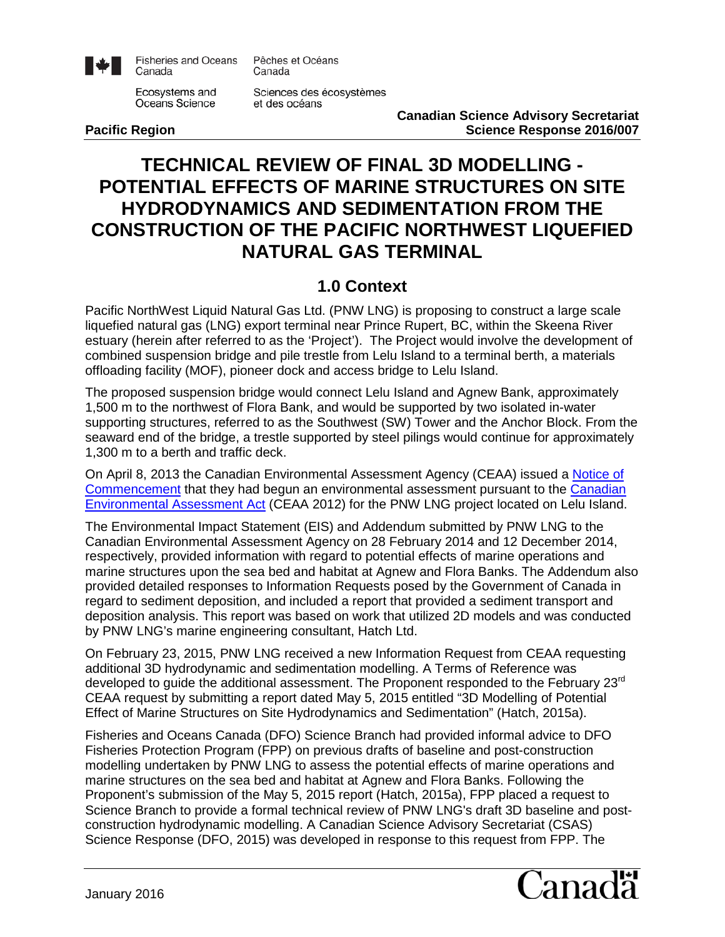

**Fisheries and Oceans** Canada

Pêches et Océans Canada

Ecosystems and Oceans Science

Sciences des écosystèmes et des océans

**Canadian Science Advisory Secretariat Pacific Region Pacific Region Pacific Response 2016/007** 

# **TECHNICAL REVIEW OF FINAL 3D MODELLING - POTENTIAL EFFECTS OF MARINE STRUCTURES ON SITE HYDRODYNAMICS AND SEDIMENTATION FROM THE CONSTRUCTION OF THE PACIFIC NORTHWEST LIQUEFIED NATURAL GAS TERMINAL**

## **1.0 Context**

Pacific NorthWest Liquid Natural Gas Ltd. (PNW LNG) is proposing to construct a large scale liquefied natural gas (LNG) export terminal near Prince Rupert, BC, within the Skeena River estuary (herein after referred to as the 'Project'). The Project would involve the development of combined suspension bridge and pile trestle from Lelu Island to a terminal berth, a materials offloading facility (MOF), pioneer dock and access bridge to Lelu Island.

The proposed suspension bridge would connect Lelu Island and Agnew Bank, approximately 1,500 m to the northwest of Flora Bank, and would be supported by two isolated in-water supporting structures, referred to as the Southwest (SW) Tower and the Anchor Block. From the seaward end of the bridge, a trestle supported by steel pilings would continue for approximately 1,300 m to a berth and traffic deck.

On April 8, 2013 the Canadian Environmental Assessment Agency (CEAA) issued a [Notice of](https://www.ceaa-acee.gc.ca/050/document-eng.cfm?document=87633)  [Commencement](https://www.ceaa-acee.gc.ca/050/document-eng.cfm?document=87633) that they had begun an environmental assessment pursuant to the [Canadian](http://laws-lois.justice.gc.ca/eng/acts/C-15.21/index.html)  [Environmental Assessment Act](http://laws-lois.justice.gc.ca/eng/acts/C-15.21/index.html) (CEAA 2012) for the PNW LNG project located on Lelu Island.

The Environmental Impact Statement (EIS) and Addendum submitted by PNW LNG to the Canadian Environmental Assessment Agency on 28 February 2014 and 12 December 2014, respectively, provided information with regard to potential effects of marine operations and marine structures upon the sea bed and habitat at Agnew and Flora Banks. The Addendum also provided detailed responses to Information Requests posed by the Government of Canada in regard to sediment deposition, and included a report that provided a sediment transport and deposition analysis. This report was based on work that utilized 2D models and was conducted by PNW LNG's marine engineering consultant, Hatch Ltd.

On February 23, 2015, PNW LNG received a new Information Request from CEAA requesting additional 3D hydrodynamic and sedimentation modelling. A Terms of Reference was developed to guide the additional assessment. The Proponent responded to the February 23<sup>rd</sup> CEAA request by submitting a report dated May 5, 2015 entitled "3D Modelling of Potential Effect of Marine Structures on Site Hydrodynamics and Sedimentation" (Hatch, 2015a).

Fisheries and Oceans Canada (DFO) Science Branch had provided informal advice to DFO Fisheries Protection Program (FPP) on previous drafts of baseline and post-construction modelling undertaken by PNW LNG to assess the potential effects of marine operations and marine structures on the sea bed and habitat at Agnew and Flora Banks. Following the Proponent's submission of the May 5, 2015 report (Hatch, 2015a), FPP placed a request to Science Branch to provide a formal technical review of PNW LNG's draft 3D baseline and postconstruction hydrodynamic modelling. A Canadian Science Advisory Secretariat (CSAS) Science Response (DFO, 2015) was developed in response to this request from FPP. The

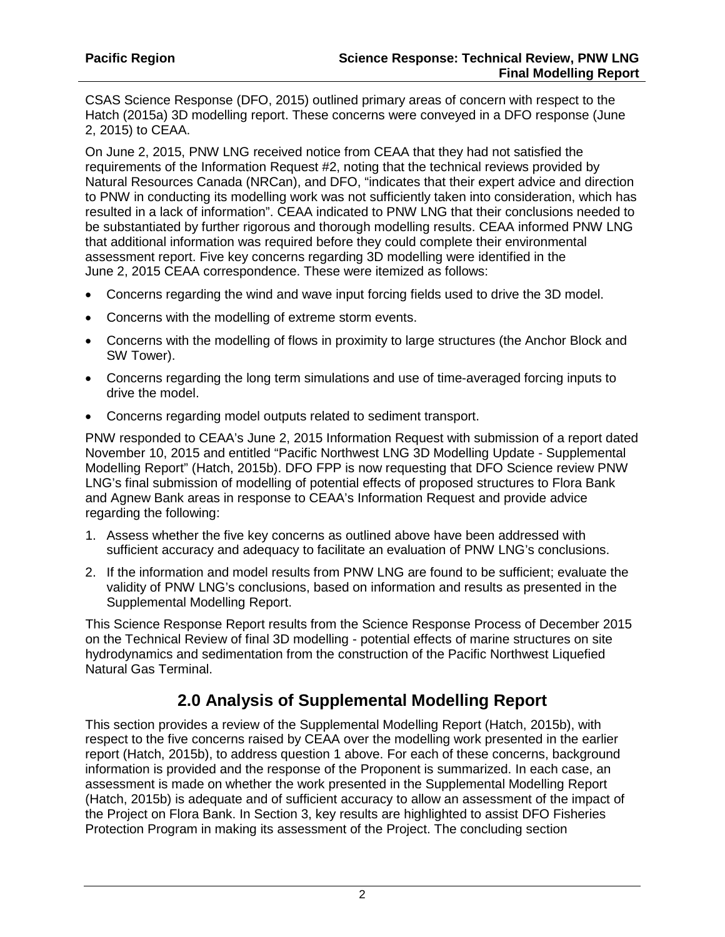CSAS Science Response (DFO, 2015) outlined primary areas of concern with respect to the Hatch (2015a) 3D modelling report. These concerns were conveyed in a DFO response (June 2, 2015) to CEAA.

On June 2, 2015, PNW LNG received notice from CEAA that they had not satisfied the requirements of the Information Request #2, noting that the technical reviews provided by Natural Resources Canada (NRCan), and DFO, "indicates that their expert advice and direction to PNW in conducting its modelling work was not sufficiently taken into consideration, which has resulted in a lack of information". CEAA indicated to PNW LNG that their conclusions needed to be substantiated by further rigorous and thorough modelling results. CEAA informed PNW LNG that additional information was required before they could complete their environmental assessment report. Five key concerns regarding 3D modelling were identified in the June 2, 2015 CEAA correspondence. These were itemized as follows:

- Concerns regarding the wind and wave input forcing fields used to drive the 3D model.
- Concerns with the modelling of extreme storm events.
- Concerns with the modelling of flows in proximity to large structures (the Anchor Block and SW Tower).
- Concerns regarding the long term simulations and use of time-averaged forcing inputs to drive the model.
- Concerns regarding model outputs related to sediment transport.

PNW responded to CEAA's June 2, 2015 Information Request with submission of a report dated November 10, 2015 and entitled "Pacific Northwest LNG 3D Modelling Update - Supplemental Modelling Report" (Hatch, 2015b). DFO FPP is now requesting that DFO Science review PNW LNG's final submission of modelling of potential effects of proposed structures to Flora Bank and Agnew Bank areas in response to CEAA's Information Request and provide advice regarding the following:

- 1. Assess whether the five key concerns as outlined above have been addressed with sufficient accuracy and adequacy to facilitate an evaluation of PNW LNG's conclusions.
- 2. If the information and model results from PNW LNG are found to be sufficient; evaluate the validity of PNW LNG's conclusions, based on information and results as presented in the Supplemental Modelling Report.

This Science Response Report results from the Science Response Process of December 2015 on the Technical Review of final 3D modelling - potential effects of marine structures on site hydrodynamics and sedimentation from the construction of the Pacific Northwest Liquefied Natural Gas Terminal.

# **2.0 Analysis of Supplemental Modelling Report**

This section provides a review of the Supplemental Modelling Report (Hatch, 2015b), with respect to the five concerns raised by CEAA over the modelling work presented in the earlier report (Hatch, 2015b), to address question 1 above. For each of these concerns, background information is provided and the response of the Proponent is summarized. In each case, an assessment is made on whether the work presented in the Supplemental Modelling Report (Hatch, 2015b) is adequate and of sufficient accuracy to allow an assessment of the impact of the Project on Flora Bank. In Section 3, key results are highlighted to assist DFO Fisheries Protection Program in making its assessment of the Project. The concluding section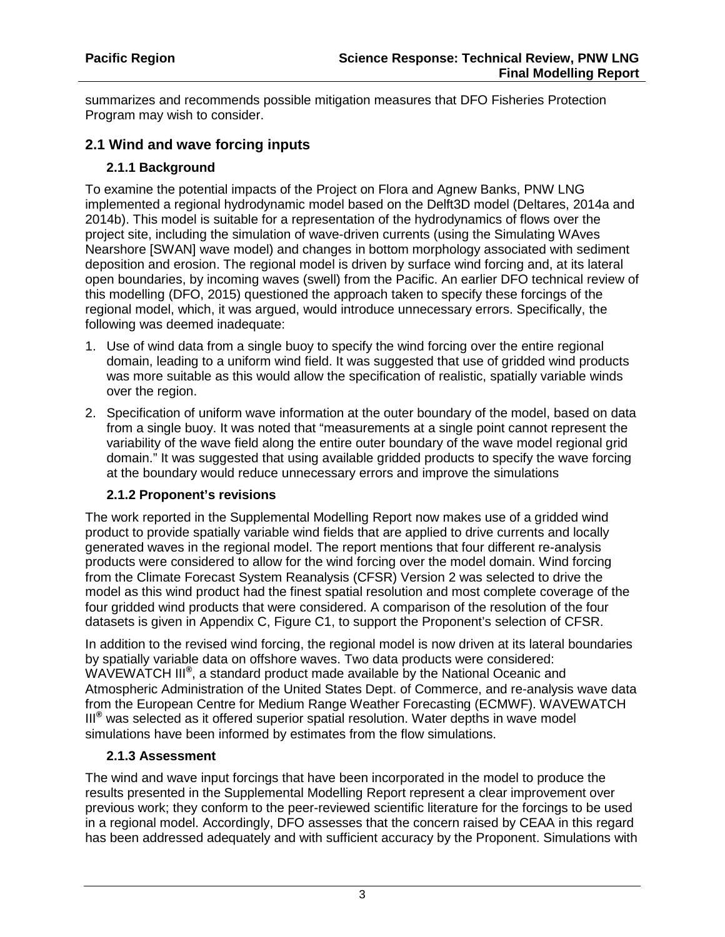summarizes and recommends possible mitigation measures that DFO Fisheries Protection Program may wish to consider.

#### **2.1 Wind and wave forcing inputs**

#### **2.1.1 Background**

To examine the potential impacts of the Project on Flora and Agnew Banks, PNW LNG implemented a regional hydrodynamic model based on the Delft3D model (Deltares, 2014a and 2014b). This model is suitable for a representation of the hydrodynamics of flows over the project site, including the simulation of wave-driven currents (using the Simulating WAves Nearshore [SWAN] wave model) and changes in bottom morphology associated with sediment deposition and erosion. The regional model is driven by surface wind forcing and, at its lateral open boundaries, by incoming waves (swell) from the Pacific. An earlier DFO technical review of this modelling (DFO, 2015) questioned the approach taken to specify these forcings of the regional model, which, it was argued, would introduce unnecessary errors. Specifically, the following was deemed inadequate:

- 1. Use of wind data from a single buoy to specify the wind forcing over the entire regional domain, leading to a uniform wind field. It was suggested that use of gridded wind products was more suitable as this would allow the specification of realistic, spatially variable winds over the region.
- 2. Specification of uniform wave information at the outer boundary of the model, based on data from a single buoy. It was noted that "measurements at a single point cannot represent the variability of the wave field along the entire outer boundary of the wave model regional grid domain." It was suggested that using available gridded products to specify the wave forcing at the boundary would reduce unnecessary errors and improve the simulations

#### **2.1.2 Proponent's revisions**

The work reported in the Supplemental Modelling Report now makes use of a gridded wind product to provide spatially variable wind fields that are applied to drive currents and locally generated waves in the regional model. The report mentions that four different re-analysis products were considered to allow for the wind forcing over the model domain. Wind forcing from the Climate Forecast System Reanalysis (CFSR) Version 2 was selected to drive the model as this wind product had the finest spatial resolution and most complete coverage of the four gridded wind products that were considered. A comparison of the resolution of the four datasets is given in Appendix C, Figure C1, to support the Proponent's selection of CFSR.

In addition to the revised wind forcing, the regional model is now driven at its lateral boundaries by spatially variable data on offshore waves. Two data products were considered: WAVEWATCH III**®** , a standard product made available by the National Oceanic and Atmospheric Administration of the United States Dept. of Commerce, and re-analysis wave data from the European Centre for Medium Range Weather Forecasting (ECMWF). WAVEWATCH III**®** was selected as it offered superior spatial resolution. Water depths in wave model simulations have been informed by estimates from the flow simulations.

#### **2.1.3 Assessment**

The wind and wave input forcings that have been incorporated in the model to produce the results presented in the Supplemental Modelling Report represent a clear improvement over previous work; they conform to the peer-reviewed scientific literature for the forcings to be used in a regional model. Accordingly, DFO assesses that the concern raised by CEAA in this regard has been addressed adequately and with sufficient accuracy by the Proponent. Simulations with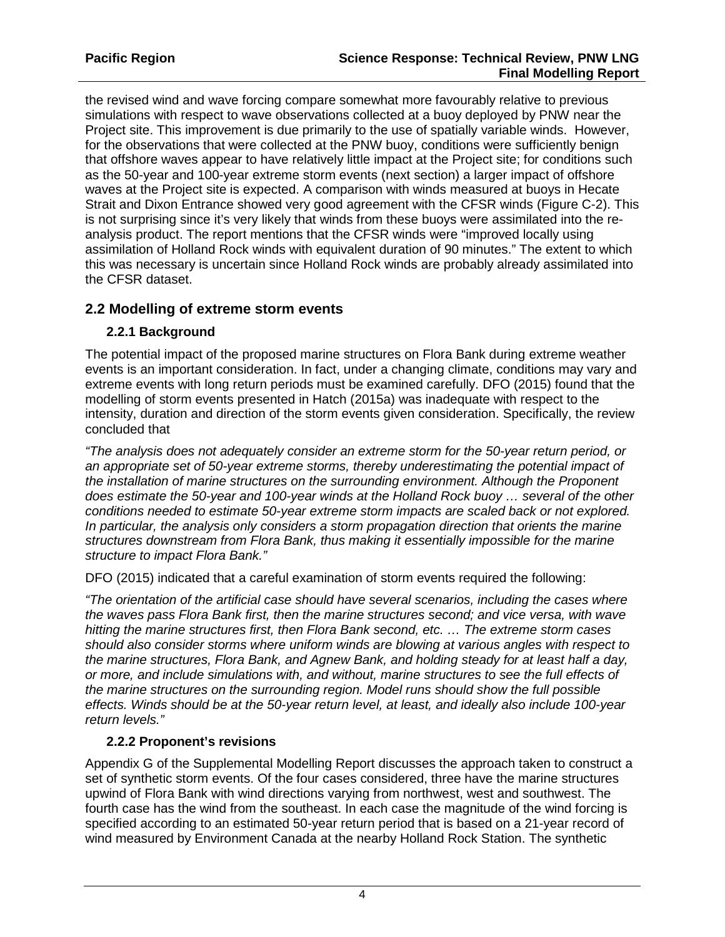the revised wind and wave forcing compare somewhat more favourably relative to previous simulations with respect to wave observations collected at a buoy deployed by PNW near the Project site. This improvement is due primarily to the use of spatially variable winds. However, for the observations that were collected at the PNW buoy, conditions were sufficiently benign that offshore waves appear to have relatively little impact at the Project site; for conditions such as the 50-year and 100-year extreme storm events (next section) a larger impact of offshore waves at the Project site is expected. A comparison with winds measured at buoys in Hecate Strait and Dixon Entrance showed very good agreement with the CFSR winds (Figure C-2). This is not surprising since it's very likely that winds from these buoys were assimilated into the reanalysis product. The report mentions that the CFSR winds were "improved locally using assimilation of Holland Rock winds with equivalent duration of 90 minutes." The extent to which this was necessary is uncertain since Holland Rock winds are probably already assimilated into the CFSR dataset.

#### **2.2 Modelling of extreme storm events**

### **2.2.1 Background**

The potential impact of the proposed marine structures on Flora Bank during extreme weather events is an important consideration. In fact, under a changing climate, conditions may vary and extreme events with long return periods must be examined carefully. DFO (2015) found that the modelling of storm events presented in Hatch (2015a) was inadequate with respect to the intensity, duration and direction of the storm events given consideration. Specifically, the review concluded that

*"The analysis does not adequately consider an extreme storm for the 50-year return period, or an appropriate set of 50-year extreme storms, thereby underestimating the potential impact of the installation of marine structures on the surrounding environment. Although the Proponent does estimate the 50-year and 100-year winds at the Holland Rock buoy … several of the other conditions needed to estimate 50-year extreme storm impacts are scaled back or not explored. In particular, the analysis only considers a storm propagation direction that orients the marine structures downstream from Flora Bank, thus making it essentially impossible for the marine structure to impact Flora Bank."*

DFO (2015) indicated that a careful examination of storm events required the following:

*"The orientation of the artificial case should have several scenarios, including the cases where the waves pass Flora Bank first, then the marine structures second; and vice versa, with wave hitting the marine structures first, then Flora Bank second, etc. … The extreme storm cases should also consider storms where uniform winds are blowing at various angles with respect to the marine structures, Flora Bank, and Agnew Bank, and holding steady for at least half a day, or more, and include simulations with, and without, marine structures to see the full effects of the marine structures on the surrounding region. Model runs should show the full possible effects. Winds should be at the 50-year return level, at least, and ideally also include 100-year return levels."*

#### **2.2.2 Proponent's revisions**

Appendix G of the Supplemental Modelling Report discusses the approach taken to construct a set of synthetic storm events. Of the four cases considered, three have the marine structures upwind of Flora Bank with wind directions varying from northwest, west and southwest. The fourth case has the wind from the southeast. In each case the magnitude of the wind forcing is specified according to an estimated 50-year return period that is based on a 21-year record of wind measured by Environment Canada at the nearby Holland Rock Station. The synthetic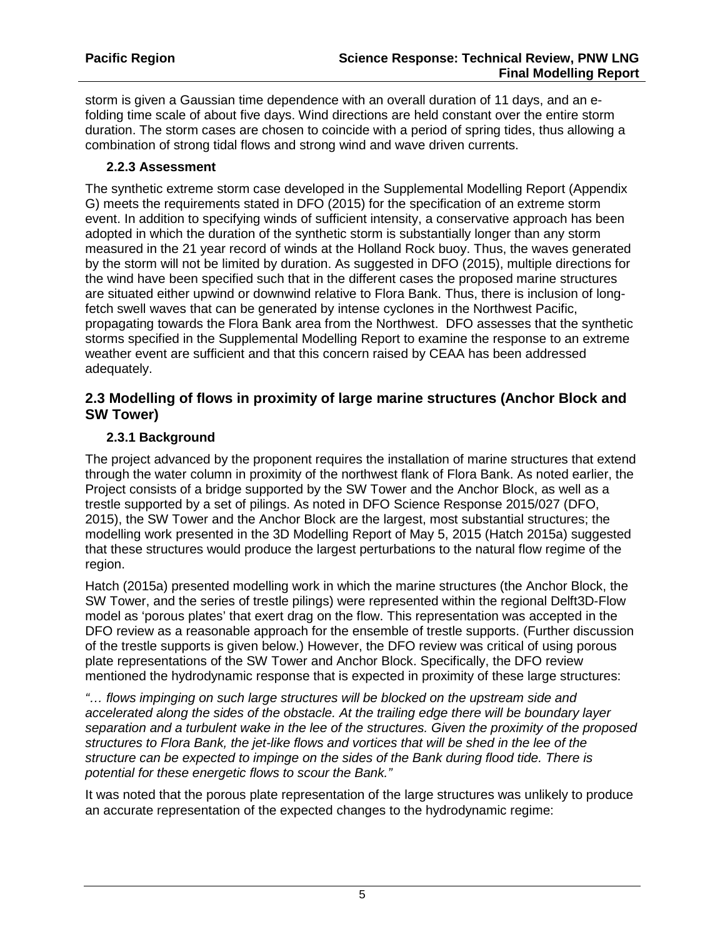storm is given a Gaussian time dependence with an overall duration of 11 days, and an efolding time scale of about five days. Wind directions are held constant over the entire storm duration. The storm cases are chosen to coincide with a period of spring tides, thus allowing a combination of strong tidal flows and strong wind and wave driven currents.

#### **2.2.3 Assessment**

The synthetic extreme storm case developed in the Supplemental Modelling Report (Appendix G) meets the requirements stated in DFO (2015) for the specification of an extreme storm event. In addition to specifying winds of sufficient intensity, a conservative approach has been adopted in which the duration of the synthetic storm is substantially longer than any storm measured in the 21 year record of winds at the Holland Rock buoy. Thus, the waves generated by the storm will not be limited by duration. As suggested in DFO (2015), multiple directions for the wind have been specified such that in the different cases the proposed marine structures are situated either upwind or downwind relative to Flora Bank. Thus, there is inclusion of longfetch swell waves that can be generated by intense cyclones in the Northwest Pacific, propagating towards the Flora Bank area from the Northwest. DFO assesses that the synthetic storms specified in the Supplemental Modelling Report to examine the response to an extreme weather event are sufficient and that this concern raised by CEAA has been addressed adequately.

#### **2.3 Modelling of flows in proximity of large marine structures (Anchor Block and SW Tower)**

#### **2.3.1 Background**

The project advanced by the proponent requires the installation of marine structures that extend through the water column in proximity of the northwest flank of Flora Bank. As noted earlier, the Project consists of a bridge supported by the SW Tower and the Anchor Block, as well as a trestle supported by a set of pilings. As noted in DFO Science Response 2015/027 (DFO, 2015), the SW Tower and the Anchor Block are the largest, most substantial structures; the modelling work presented in the 3D Modelling Report of May 5, 2015 (Hatch 2015a) suggested that these structures would produce the largest perturbations to the natural flow regime of the region.

Hatch (2015a) presented modelling work in which the marine structures (the Anchor Block, the SW Tower, and the series of trestle pilings) were represented within the regional Delft3D-Flow model as 'porous plates' that exert drag on the flow. This representation was accepted in the DFO review as a reasonable approach for the ensemble of trestle supports. (Further discussion of the trestle supports is given below.) However, the DFO review was critical of using porous plate representations of the SW Tower and Anchor Block. Specifically, the DFO review mentioned the hydrodynamic response that is expected in proximity of these large structures:

*"… flows impinging on such large structures will be blocked on the upstream side and accelerated along the sides of the obstacle. At the trailing edge there will be boundary layer separation and a turbulent wake in the lee of the structures. Given the proximity of the proposed structures to Flora Bank, the jet-like flows and vortices that will be shed in the lee of the structure can be expected to impinge on the sides of the Bank during flood tide. There is potential for these energetic flows to scour the Bank."* 

It was noted that the porous plate representation of the large structures was unlikely to produce an accurate representation of the expected changes to the hydrodynamic regime: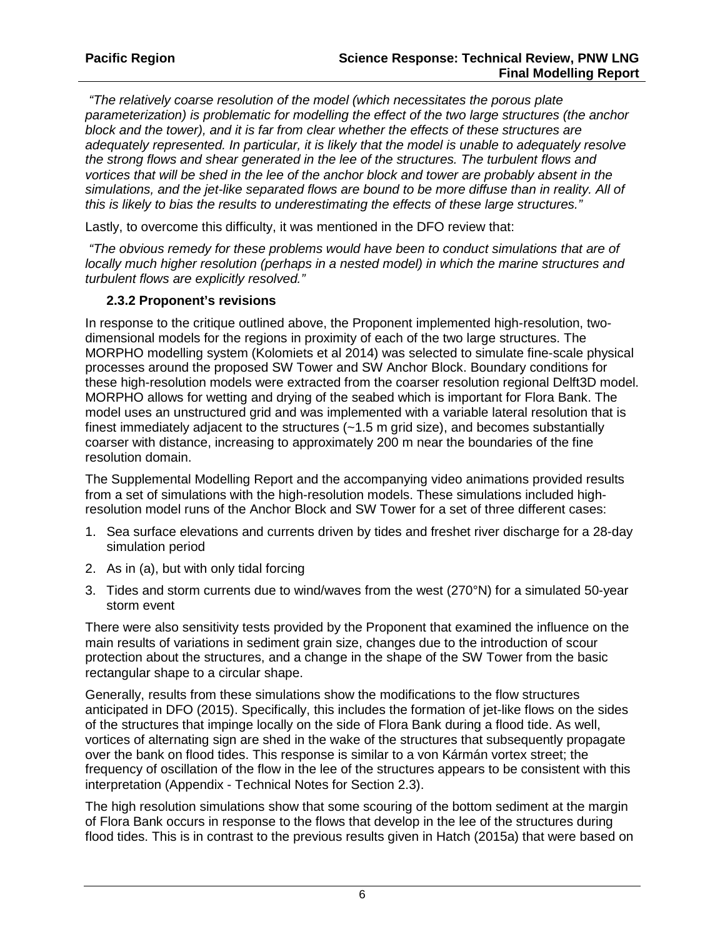*"The relatively coarse resolution of the model (which necessitates the porous plate parameterization) is problematic for modelling the effect of the two large structures (the anchor block and the tower), and it is far from clear whether the effects of these structures are adequately represented. In particular, it is likely that the model is unable to adequately resolve the strong flows and shear generated in the lee of the structures. The turbulent flows and vortices that will be shed in the lee of the anchor block and tower are probably absent in the simulations, and the jet-like separated flows are bound to be more diffuse than in reality. All of this is likely to bias the results to underestimating the effects of these large structures."*

Lastly, to overcome this difficulty, it was mentioned in the DFO review that:

*"The obvious remedy for these problems would have been to conduct simulations that are of locally much higher resolution (perhaps in a nested model) in which the marine structures and turbulent flows are explicitly resolved."*

#### **2.3.2 Proponent's revisions**

In response to the critique outlined above, the Proponent implemented high-resolution, twodimensional models for the regions in proximity of each of the two large structures. The MORPHO modelling system (Kolomiets et al 2014) was selected to simulate fine-scale physical processes around the proposed SW Tower and SW Anchor Block. Boundary conditions for these high-resolution models were extracted from the coarser resolution regional Delft3D model. MORPHO allows for wetting and drying of the seabed which is important for Flora Bank. The model uses an unstructured grid and was implemented with a variable lateral resolution that is finest immediately adjacent to the structures  $(-1.5 \text{ m grid size})$ , and becomes substantially coarser with distance, increasing to approximately 200 m near the boundaries of the fine resolution domain.

The Supplemental Modelling Report and the accompanying video animations provided results from a set of simulations with the high-resolution models. These simulations included highresolution model runs of the Anchor Block and SW Tower for a set of three different cases:

- 1. Sea surface elevations and currents driven by tides and freshet river discharge for a 28-day simulation period
- 2. As in (a), but with only tidal forcing
- 3. Tides and storm currents due to wind/waves from the west (270°N) for a simulated 50-year storm event

There were also sensitivity tests provided by the Proponent that examined the influence on the main results of variations in sediment grain size, changes due to the introduction of scour protection about the structures, and a change in the shape of the SW Tower from the basic rectangular shape to a circular shape.

Generally, results from these simulations show the modifications to the flow structures anticipated in DFO (2015). Specifically, this includes the formation of jet-like flows on the sides of the structures that impinge locally on the side of Flora Bank during a flood tide. As well, vortices of alternating sign are shed in the wake of the structures that subsequently propagate over the bank on flood tides. This response is similar to a von Kármán vortex street; the frequency of oscillation of the flow in the lee of the structures appears to be consistent with this interpretation (Appendix - Technical Notes for Section 2.3).

The high resolution simulations show that some scouring of the bottom sediment at the margin of Flora Bank occurs in response to the flows that develop in the lee of the structures during flood tides. This is in contrast to the previous results given in Hatch (2015a) that were based on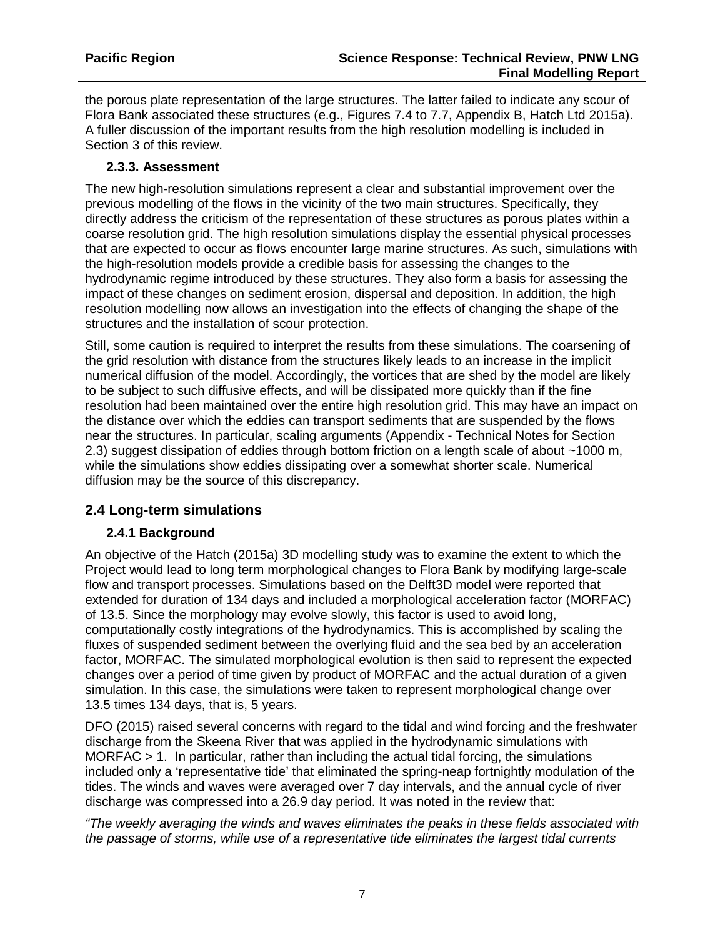the porous plate representation of the large structures. The latter failed to indicate any scour of Flora Bank associated these structures (e.g., Figures 7.4 to 7.7, Appendix B, Hatch Ltd 2015a). A fuller discussion of the important results from the high resolution modelling is included in Section 3 of this review.

#### **2.3.3. Assessment**

The new high-resolution simulations represent a clear and substantial improvement over the previous modelling of the flows in the vicinity of the two main structures. Specifically, they directly address the criticism of the representation of these structures as porous plates within a coarse resolution grid. The high resolution simulations display the essential physical processes that are expected to occur as flows encounter large marine structures. As such, simulations with the high-resolution models provide a credible basis for assessing the changes to the hydrodynamic regime introduced by these structures. They also form a basis for assessing the impact of these changes on sediment erosion, dispersal and deposition. In addition, the high resolution modelling now allows an investigation into the effects of changing the shape of the structures and the installation of scour protection.

Still, some caution is required to interpret the results from these simulations. The coarsening of the grid resolution with distance from the structures likely leads to an increase in the implicit numerical diffusion of the model. Accordingly, the vortices that are shed by the model are likely to be subject to such diffusive effects, and will be dissipated more quickly than if the fine resolution had been maintained over the entire high resolution grid. This may have an impact on the distance over which the eddies can transport sediments that are suspended by the flows near the structures. In particular, scaling arguments (Appendix - Technical Notes for Section 2.3) suggest dissipation of eddies through bottom friction on a length scale of about ~1000 m, while the simulations show eddies dissipating over a somewhat shorter scale. Numerical diffusion may be the source of this discrepancy.

## **2.4 Long-term simulations**

#### **2.4.1 Background**

An objective of the Hatch (2015a) 3D modelling study was to examine the extent to which the Project would lead to long term morphological changes to Flora Bank by modifying large-scale flow and transport processes. Simulations based on the Delft3D model were reported that extended for duration of 134 days and included a morphological acceleration factor (MORFAC) of 13.5. Since the morphology may evolve slowly, this factor is used to avoid long, computationally costly integrations of the hydrodynamics. This is accomplished by scaling the fluxes of suspended sediment between the overlying fluid and the sea bed by an acceleration factor, MORFAC. The simulated morphological evolution is then said to represent the expected changes over a period of time given by product of MORFAC and the actual duration of a given simulation. In this case, the simulations were taken to represent morphological change over 13.5 times 134 days, that is, 5 years.

DFO (2015) raised several concerns with regard to the tidal and wind forcing and the freshwater discharge from the Skeena River that was applied in the hydrodynamic simulations with MORFAC  $> 1$ . In particular, rather than including the actual tidal forcing, the simulations included only a 'representative tide' that eliminated the spring-neap fortnightly modulation of the tides. The winds and waves were averaged over 7 day intervals, and the annual cycle of river discharge was compressed into a 26.9 day period. It was noted in the review that:

*"The weekly averaging the winds and waves eliminates the peaks in these fields associated with the passage of storms, while use of a representative tide eliminates the largest tidal currents*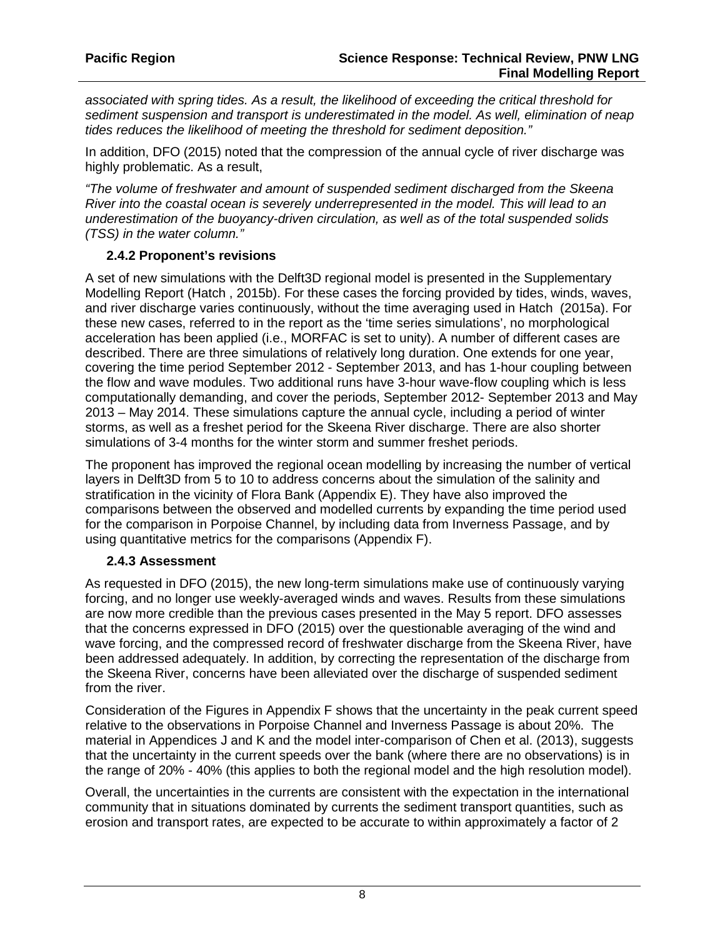*associated with spring tides. As a result, the likelihood of exceeding the critical threshold for sediment suspension and transport is underestimated in the model. As well, elimination of neap tides reduces the likelihood of meeting the threshold for sediment deposition."*

In addition, DFO (2015) noted that the compression of the annual cycle of river discharge was highly problematic. As a result,

*"The volume of freshwater and amount of suspended sediment discharged from the Skeena River into the coastal ocean is severely underrepresented in the model. This will lead to an underestimation of the buoyancy-driven circulation, as well as of the total suspended solids (TSS) in the water column."* 

#### **2.4.2 Proponent's revisions**

A set of new simulations with the Delft3D regional model is presented in the Supplementary Modelling Report (Hatch , 2015b). For these cases the forcing provided by tides, winds, waves, and river discharge varies continuously, without the time averaging used in Hatch (2015a). For these new cases, referred to in the report as the 'time series simulations', no morphological acceleration has been applied (i.e., MORFAC is set to unity). A number of different cases are described. There are three simulations of relatively long duration. One extends for one year, covering the time period September 2012 - September 2013, and has 1-hour coupling between the flow and wave modules. Two additional runs have 3-hour wave-flow coupling which is less computationally demanding, and cover the periods, September 2012- September 2013 and May 2013 – May 2014. These simulations capture the annual cycle, including a period of winter storms, as well as a freshet period for the Skeena River discharge. There are also shorter simulations of 3-4 months for the winter storm and summer freshet periods.

The proponent has improved the regional ocean modelling by increasing the number of vertical layers in Delft3D from 5 to 10 to address concerns about the simulation of the salinity and stratification in the vicinity of Flora Bank (Appendix E). They have also improved the comparisons between the observed and modelled currents by expanding the time period used for the comparison in Porpoise Channel, by including data from Inverness Passage, and by using quantitative metrics for the comparisons (Appendix F).

#### **2.4.3 Assessment**

As requested in DFO (2015), the new long-term simulations make use of continuously varying forcing, and no longer use weekly-averaged winds and waves. Results from these simulations are now more credible than the previous cases presented in the May 5 report. DFO assesses that the concerns expressed in DFO (2015) over the questionable averaging of the wind and wave forcing, and the compressed record of freshwater discharge from the Skeena River, have been addressed adequately. In addition, by correcting the representation of the discharge from the Skeena River, concerns have been alleviated over the discharge of suspended sediment from the river.

Consideration of the Figures in Appendix F shows that the uncertainty in the peak current speed relative to the observations in Porpoise Channel and Inverness Passage is about 20%. The material in Appendices J and K and the model inter-comparison of Chen et al. (2013), suggests that the uncertainty in the current speeds over the bank (where there are no observations) is in the range of 20% - 40% (this applies to both the regional model and the high resolution model).

Overall, the uncertainties in the currents are consistent with the expectation in the international community that in situations dominated by currents the sediment transport quantities, such as erosion and transport rates, are expected to be accurate to within approximately a factor of 2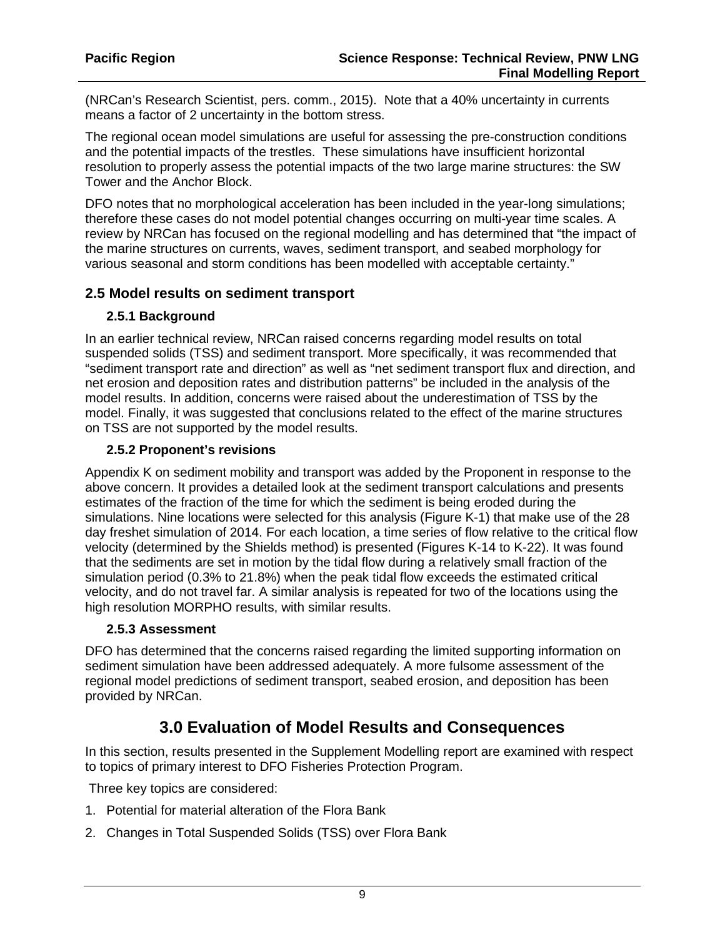(NRCan's Research Scientist, pers. comm., 2015). Note that a 40% uncertainty in currents means a factor of 2 uncertainty in the bottom stress.

The regional ocean model simulations are useful for assessing the pre-construction conditions and the potential impacts of the trestles. These simulations have insufficient horizontal resolution to properly assess the potential impacts of the two large marine structures: the SW Tower and the Anchor Block.

DFO notes that no morphological acceleration has been included in the year-long simulations; therefore these cases do not model potential changes occurring on multi-year time scales. A review by NRCan has focused on the regional modelling and has determined that "the impact of the marine structures on currents, waves, sediment transport, and seabed morphology for various seasonal and storm conditions has been modelled with acceptable certainty."

#### **2.5 Model results on sediment transport**

#### **2.5.1 Background**

In an earlier technical review, NRCan raised concerns regarding model results on total suspended solids (TSS) and sediment transport. More specifically, it was recommended that "sediment transport rate and direction" as well as "net sediment transport flux and direction, and net erosion and deposition rates and distribution patterns" be included in the analysis of the model results. In addition, concerns were raised about the underestimation of TSS by the model. Finally, it was suggested that conclusions related to the effect of the marine structures on TSS are not supported by the model results.

#### **2.5.2 Proponent's revisions**

Appendix K on sediment mobility and transport was added by the Proponent in response to the above concern. It provides a detailed look at the sediment transport calculations and presents estimates of the fraction of the time for which the sediment is being eroded during the simulations. Nine locations were selected for this analysis (Figure K-1) that make use of the 28 day freshet simulation of 2014. For each location, a time series of flow relative to the critical flow velocity (determined by the Shields method) is presented (Figures K-14 to K-22). It was found that the sediments are set in motion by the tidal flow during a relatively small fraction of the simulation period (0.3% to 21.8%) when the peak tidal flow exceeds the estimated critical velocity, and do not travel far. A similar analysis is repeated for two of the locations using the high resolution MORPHO results, with similar results.

#### **2.5.3 Assessment**

DFO has determined that the concerns raised regarding the limited supporting information on sediment simulation have been addressed adequately. A more fulsome assessment of the regional model predictions of sediment transport, seabed erosion, and deposition has been provided by NRCan.

## **3.0 Evaluation of Model Results and Consequences**

In this section, results presented in the Supplement Modelling report are examined with respect to topics of primary interest to DFO Fisheries Protection Program.

Three key topics are considered:

- 1. Potential for material alteration of the Flora Bank
- 2. Changes in Total Suspended Solids (TSS) over Flora Bank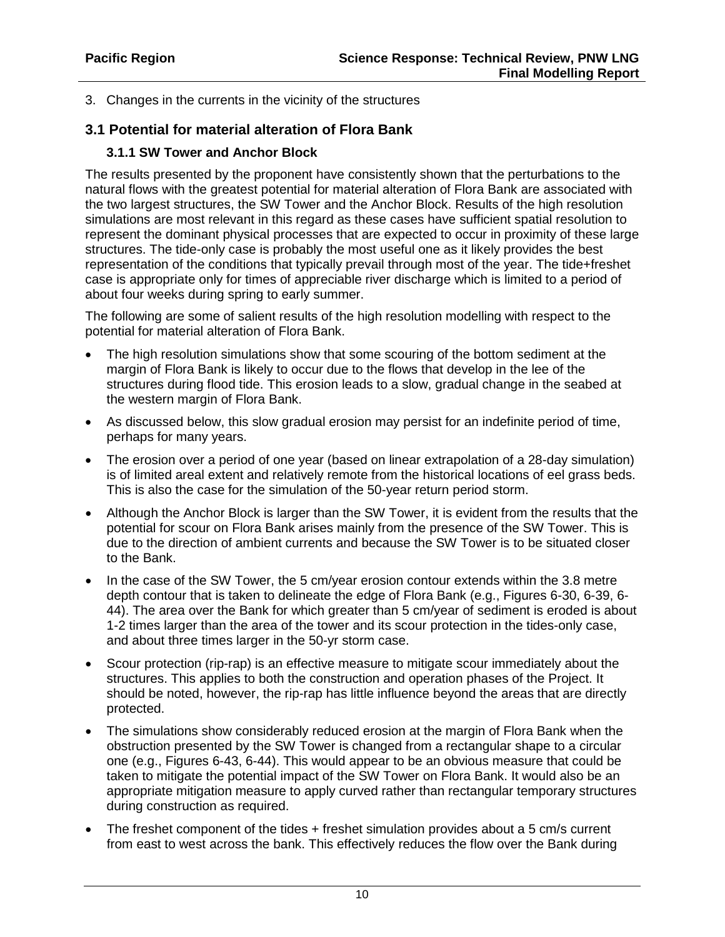3. Changes in the currents in the vicinity of the structures

### **3.1 Potential for material alteration of Flora Bank**

#### **3.1.1 SW Tower and Anchor Block**

The results presented by the proponent have consistently shown that the perturbations to the natural flows with the greatest potential for material alteration of Flora Bank are associated with the two largest structures, the SW Tower and the Anchor Block. Results of the high resolution simulations are most relevant in this regard as these cases have sufficient spatial resolution to represent the dominant physical processes that are expected to occur in proximity of these large structures. The tide-only case is probably the most useful one as it likely provides the best representation of the conditions that typically prevail through most of the year. The tide+freshet case is appropriate only for times of appreciable river discharge which is limited to a period of about four weeks during spring to early summer.

The following are some of salient results of the high resolution modelling with respect to the potential for material alteration of Flora Bank.

- The high resolution simulations show that some scouring of the bottom sediment at the margin of Flora Bank is likely to occur due to the flows that develop in the lee of the structures during flood tide. This erosion leads to a slow, gradual change in the seabed at the western margin of Flora Bank.
- As discussed below, this slow gradual erosion may persist for an indefinite period of time, perhaps for many years.
- The erosion over a period of one year (based on linear extrapolation of a 28-day simulation) is of limited areal extent and relatively remote from the historical locations of eel grass beds. This is also the case for the simulation of the 50-year return period storm.
- Although the Anchor Block is larger than the SW Tower, it is evident from the results that the potential for scour on Flora Bank arises mainly from the presence of the SW Tower. This is due to the direction of ambient currents and because the SW Tower is to be situated closer to the Bank.
- In the case of the SW Tower, the 5 cm/year erosion contour extends within the 3.8 metre depth contour that is taken to delineate the edge of Flora Bank (e.g., Figures 6-30, 6-39, 6- 44). The area over the Bank for which greater than 5 cm/year of sediment is eroded is about 1-2 times larger than the area of the tower and its scour protection in the tides-only case, and about three times larger in the 50-yr storm case.
- Scour protection (rip-rap) is an effective measure to mitigate scour immediately about the structures. This applies to both the construction and operation phases of the Project. It should be noted, however, the rip-rap has little influence beyond the areas that are directly protected.
- The simulations show considerably reduced erosion at the margin of Flora Bank when the obstruction presented by the SW Tower is changed from a rectangular shape to a circular one (e.g., Figures 6-43, 6-44). This would appear to be an obvious measure that could be taken to mitigate the potential impact of the SW Tower on Flora Bank. It would also be an appropriate mitigation measure to apply curved rather than rectangular temporary structures during construction as required.
- The freshet component of the tides + freshet simulation provides about a 5 cm/s current from east to west across the bank. This effectively reduces the flow over the Bank during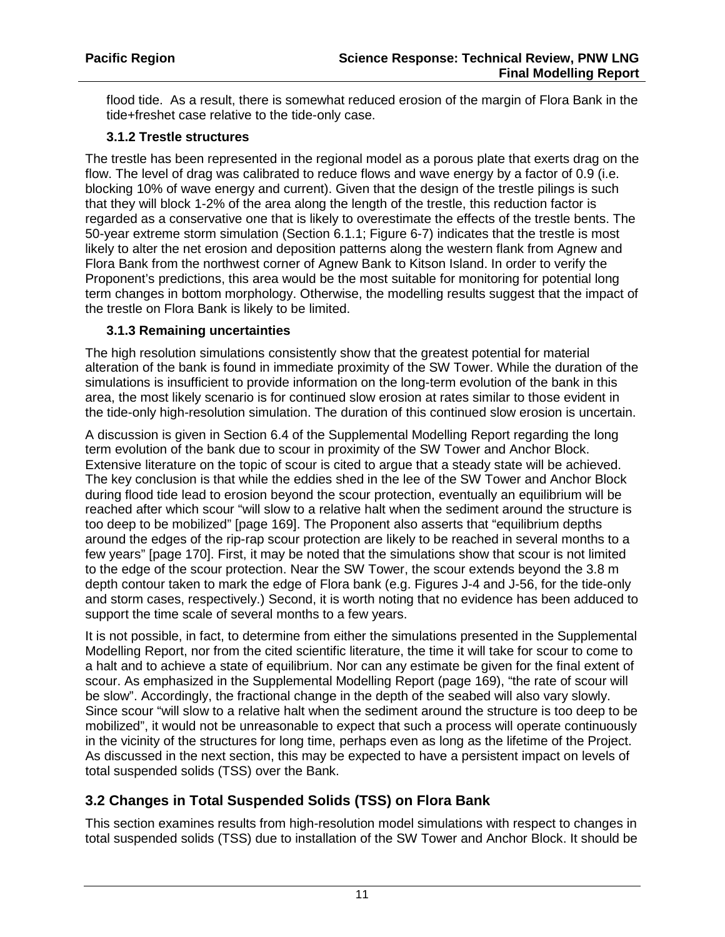flood tide. As a result, there is somewhat reduced erosion of the margin of Flora Bank in the tide+freshet case relative to the tide-only case.

#### **3.1.2 Trestle structures**

The trestle has been represented in the regional model as a porous plate that exerts drag on the flow. The level of drag was calibrated to reduce flows and wave energy by a factor of 0.9 (i.e. blocking 10% of wave energy and current). Given that the design of the trestle pilings is such that they will block 1-2% of the area along the length of the trestle, this reduction factor is regarded as a conservative one that is likely to overestimate the effects of the trestle bents. The 50-year extreme storm simulation (Section 6.1.1; Figure 6-7) indicates that the trestle is most likely to alter the net erosion and deposition patterns along the western flank from Agnew and Flora Bank from the northwest corner of Agnew Bank to Kitson Island. In order to verify the Proponent's predictions, this area would be the most suitable for monitoring for potential long term changes in bottom morphology. Otherwise, the modelling results suggest that the impact of the trestle on Flora Bank is likely to be limited.

#### **3.1.3 Remaining uncertainties**

The high resolution simulations consistently show that the greatest potential for material alteration of the bank is found in immediate proximity of the SW Tower. While the duration of the simulations is insufficient to provide information on the long-term evolution of the bank in this area, the most likely scenario is for continued slow erosion at rates similar to those evident in the tide-only high-resolution simulation. The duration of this continued slow erosion is uncertain.

A discussion is given in Section 6.4 of the Supplemental Modelling Report regarding the long term evolution of the bank due to scour in proximity of the SW Tower and Anchor Block. Extensive literature on the topic of scour is cited to argue that a steady state will be achieved. The key conclusion is that while the eddies shed in the lee of the SW Tower and Anchor Block during flood tide lead to erosion beyond the scour protection, eventually an equilibrium will be reached after which scour "will slow to a relative halt when the sediment around the structure is too deep to be mobilized" [page 169]. The Proponent also asserts that "equilibrium depths around the edges of the rip-rap scour protection are likely to be reached in several months to a few years" [page 170]. First, it may be noted that the simulations show that scour is not limited to the edge of the scour protection. Near the SW Tower, the scour extends beyond the 3.8 m depth contour taken to mark the edge of Flora bank (e.g. Figures J-4 and J-56, for the tide-only and storm cases, respectively.) Second, it is worth noting that no evidence has been adduced to support the time scale of several months to a few years.

It is not possible, in fact, to determine from either the simulations presented in the Supplemental Modelling Report, nor from the cited scientific literature, the time it will take for scour to come to a halt and to achieve a state of equilibrium. Nor can any estimate be given for the final extent of scour. As emphasized in the Supplemental Modelling Report (page 169), "the rate of scour will be slow". Accordingly, the fractional change in the depth of the seabed will also vary slowly. Since scour "will slow to a relative halt when the sediment around the structure is too deep to be mobilized", it would not be unreasonable to expect that such a process will operate continuously in the vicinity of the structures for long time, perhaps even as long as the lifetime of the Project. As discussed in the next section, this may be expected to have a persistent impact on levels of total suspended solids (TSS) over the Bank.

## **3.2 Changes in Total Suspended Solids (TSS) on Flora Bank**

This section examines results from high-resolution model simulations with respect to changes in total suspended solids (TSS) due to installation of the SW Tower and Anchor Block. It should be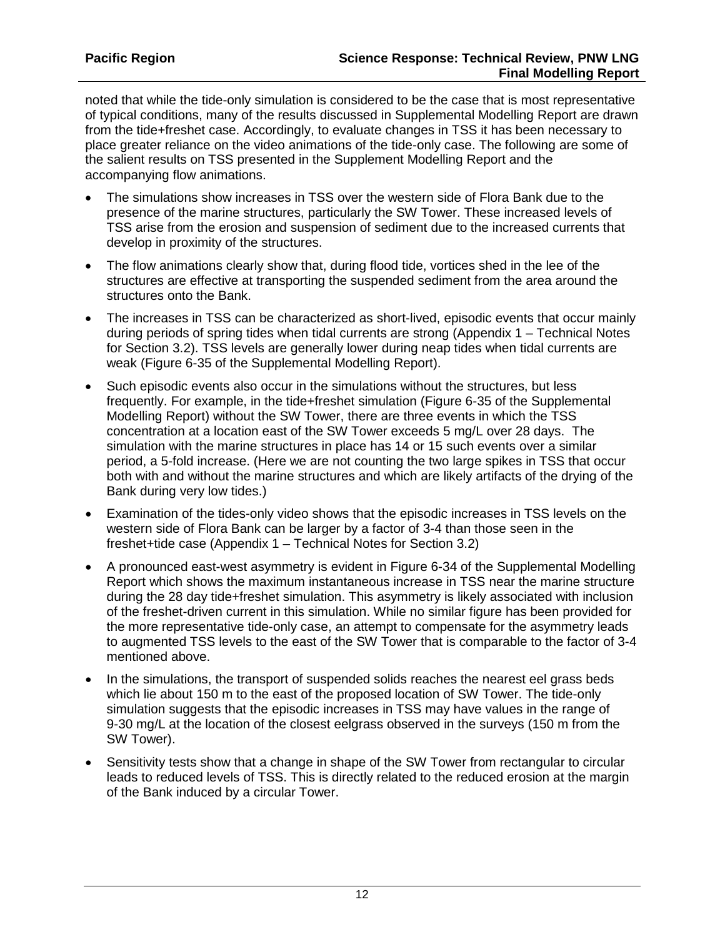noted that while the tide-only simulation is considered to be the case that is most representative of typical conditions, many of the results discussed in Supplemental Modelling Report are drawn from the tide+freshet case. Accordingly, to evaluate changes in TSS it has been necessary to place greater reliance on the video animations of the tide-only case. The following are some of the salient results on TSS presented in the Supplement Modelling Report and the accompanying flow animations.

- The simulations show increases in TSS over the western side of Flora Bank due to the presence of the marine structures, particularly the SW Tower. These increased levels of TSS arise from the erosion and suspension of sediment due to the increased currents that develop in proximity of the structures.
- The flow animations clearly show that, during flood tide, vortices shed in the lee of the structures are effective at transporting the suspended sediment from the area around the structures onto the Bank.
- The increases in TSS can be characterized as short-lived, episodic events that occur mainly during periods of spring tides when tidal currents are strong (Appendix 1 – Technical Notes for Section 3.2). TSS levels are generally lower during neap tides when tidal currents are weak (Figure 6-35 of the Supplemental Modelling Report).
- Such episodic events also occur in the simulations without the structures, but less frequently. For example, in the tide+freshet simulation (Figure 6-35 of the Supplemental Modelling Report) without the SW Tower, there are three events in which the TSS concentration at a location east of the SW Tower exceeds 5 mg/L over 28 days. The simulation with the marine structures in place has 14 or 15 such events over a similar period, a 5-fold increase. (Here we are not counting the two large spikes in TSS that occur both with and without the marine structures and which are likely artifacts of the drying of the Bank during very low tides.)
- Examination of the tides-only video shows that the episodic increases in TSS levels on the western side of Flora Bank can be larger by a factor of 3-4 than those seen in the freshet+tide case (Appendix 1 – Technical Notes for Section 3.2)
- A pronounced east-west asymmetry is evident in Figure 6-34 of the Supplemental Modelling Report which shows the maximum instantaneous increase in TSS near the marine structure during the 28 day tide+freshet simulation. This asymmetry is likely associated with inclusion of the freshet-driven current in this simulation. While no similar figure has been provided for the more representative tide-only case, an attempt to compensate for the asymmetry leads to augmented TSS levels to the east of the SW Tower that is comparable to the factor of 3-4 mentioned above.
- In the simulations, the transport of suspended solids reaches the nearest eel grass beds which lie about 150 m to the east of the proposed location of SW Tower. The tide-only simulation suggests that the episodic increases in TSS may have values in the range of 9-30 mg/L at the location of the closest eelgrass observed in the surveys (150 m from the SW Tower).
- Sensitivity tests show that a change in shape of the SW Tower from rectangular to circular leads to reduced levels of TSS. This is directly related to the reduced erosion at the margin of the Bank induced by a circular Tower.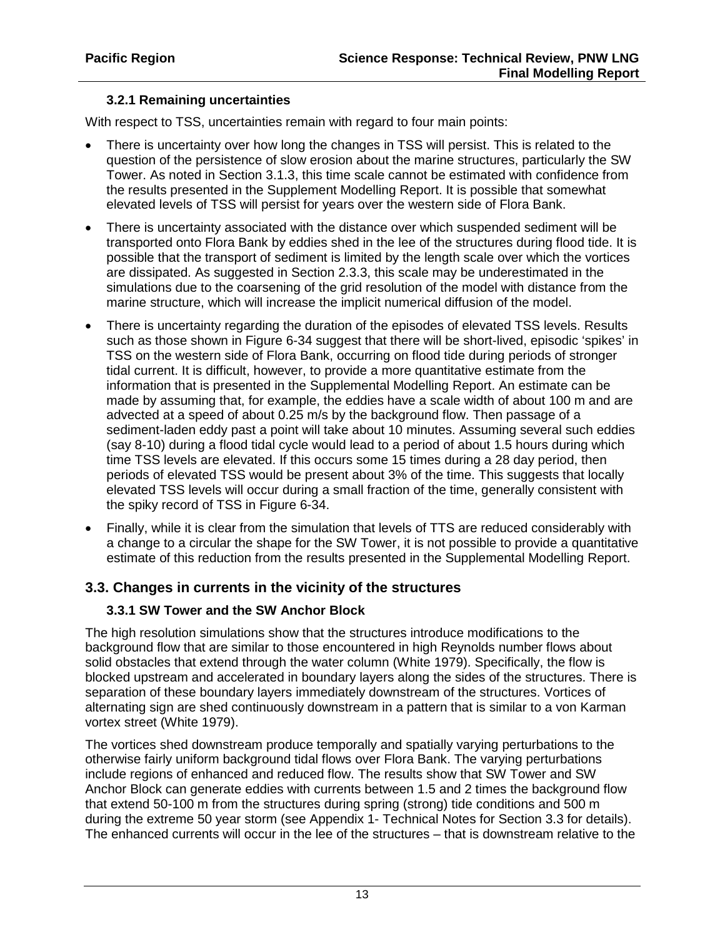### **3.2.1 Remaining uncertainties**

With respect to TSS, uncertainties remain with regard to four main points:

- There is uncertainty over how long the changes in TSS will persist. This is related to the question of the persistence of slow erosion about the marine structures, particularly the SW Tower. As noted in Section 3.1.3, this time scale cannot be estimated with confidence from the results presented in the Supplement Modelling Report. It is possible that somewhat elevated levels of TSS will persist for years over the western side of Flora Bank.
- There is uncertainty associated with the distance over which suspended sediment will be transported onto Flora Bank by eddies shed in the lee of the structures during flood tide. It is possible that the transport of sediment is limited by the length scale over which the vortices are dissipated. As suggested in Section 2.3.3, this scale may be underestimated in the simulations due to the coarsening of the grid resolution of the model with distance from the marine structure, which will increase the implicit numerical diffusion of the model.
- There is uncertainty regarding the duration of the episodes of elevated TSS levels. Results such as those shown in Figure 6-34 suggest that there will be short-lived, episodic 'spikes' in TSS on the western side of Flora Bank, occurring on flood tide during periods of stronger tidal current. It is difficult, however, to provide a more quantitative estimate from the information that is presented in the Supplemental Modelling Report. An estimate can be made by assuming that, for example, the eddies have a scale width of about 100 m and are advected at a speed of about 0.25 m/s by the background flow. Then passage of a sediment-laden eddy past a point will take about 10 minutes. Assuming several such eddies (say 8-10) during a flood tidal cycle would lead to a period of about 1.5 hours during which time TSS levels are elevated. If this occurs some 15 times during a 28 day period, then periods of elevated TSS would be present about 3% of the time. This suggests that locally elevated TSS levels will occur during a small fraction of the time, generally consistent with the spiky record of TSS in Figure 6-34.
- Finally, while it is clear from the simulation that levels of TTS are reduced considerably with a change to a circular the shape for the SW Tower, it is not possible to provide a quantitative estimate of this reduction from the results presented in the Supplemental Modelling Report.

## **3.3. Changes in currents in the vicinity of the structures**

#### **3.3.1 SW Tower and the SW Anchor Block**

The high resolution simulations show that the structures introduce modifications to the background flow that are similar to those encountered in high Reynolds number flows about solid obstacles that extend through the water column (White 1979). Specifically, the flow is blocked upstream and accelerated in boundary layers along the sides of the structures. There is separation of these boundary layers immediately downstream of the structures. Vortices of alternating sign are shed continuously downstream in a pattern that is similar to a von Karman vortex street (White 1979).

The vortices shed downstream produce temporally and spatially varying perturbations to the otherwise fairly uniform background tidal flows over Flora Bank. The varying perturbations include regions of enhanced and reduced flow. The results show that SW Tower and SW Anchor Block can generate eddies with currents between 1.5 and 2 times the background flow that extend 50-100 m from the structures during spring (strong) tide conditions and 500 m during the extreme 50 year storm (see Appendix 1- Technical Notes for Section 3.3 for details). The enhanced currents will occur in the lee of the structures – that is downstream relative to the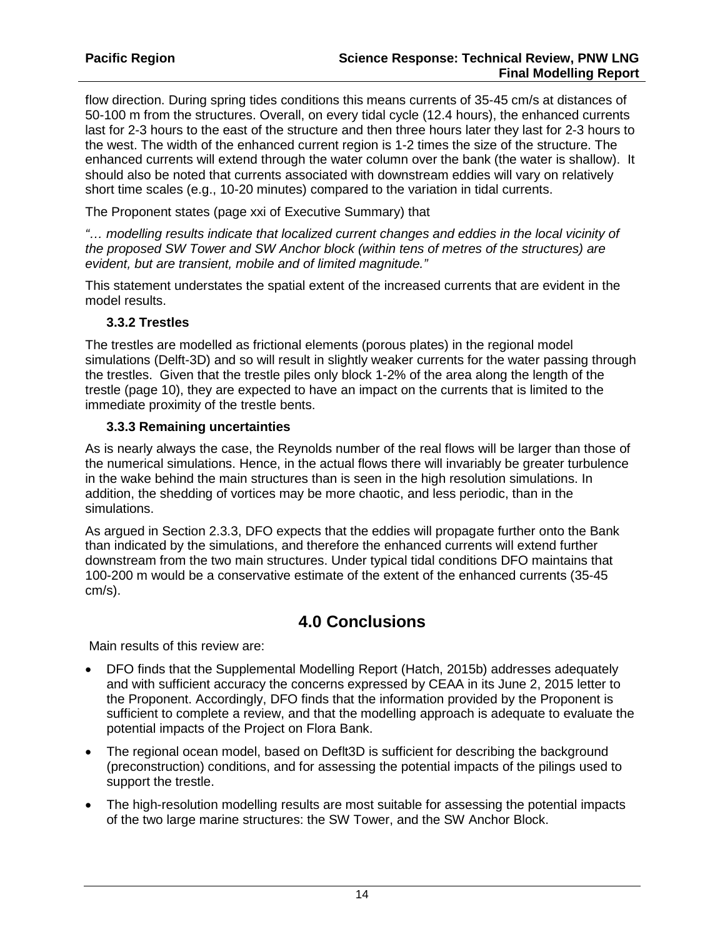flow direction. During spring tides conditions this means currents of 35-45 cm/s at distances of 50-100 m from the structures. Overall, on every tidal cycle (12.4 hours), the enhanced currents last for 2-3 hours to the east of the structure and then three hours later they last for 2-3 hours to the west. The width of the enhanced current region is 1-2 times the size of the structure. The enhanced currents will extend through the water column over the bank (the water is shallow). It should also be noted that currents associated with downstream eddies will vary on relatively short time scales (e.g., 10-20 minutes) compared to the variation in tidal currents.

The Proponent states (page xxi of Executive Summary) that

*"… modelling results indicate that localized current changes and eddies in the local vicinity of the proposed SW Tower and SW Anchor block (within tens of metres of the structures) are evident, but are transient, mobile and of limited magnitude."*

This statement understates the spatial extent of the increased currents that are evident in the model results.

#### **3.3.2 Trestles**

The trestles are modelled as frictional elements (porous plates) in the regional model simulations (Delft-3D) and so will result in slightly weaker currents for the water passing through the trestles. Given that the trestle piles only block 1-2% of the area along the length of the trestle (page 10), they are expected to have an impact on the currents that is limited to the immediate proximity of the trestle bents.

#### **3.3.3 Remaining uncertainties**

As is nearly always the case, the Reynolds number of the real flows will be larger than those of the numerical simulations. Hence, in the actual flows there will invariably be greater turbulence in the wake behind the main structures than is seen in the high resolution simulations. In addition, the shedding of vortices may be more chaotic, and less periodic, than in the simulations.

As argued in Section 2.3.3, DFO expects that the eddies will propagate further onto the Bank than indicated by the simulations, and therefore the enhanced currents will extend further downstream from the two main structures. Under typical tidal conditions DFO maintains that 100-200 m would be a conservative estimate of the extent of the enhanced currents (35-45 cm/s).

## **4.0 Conclusions**

Main results of this review are:

- DFO finds that the Supplemental Modelling Report (Hatch, 2015b) addresses adequately and with sufficient accuracy the concerns expressed by CEAA in its June 2, 2015 letter to the Proponent. Accordingly, DFO finds that the information provided by the Proponent is sufficient to complete a review, and that the modelling approach is adequate to evaluate the potential impacts of the Project on Flora Bank.
- The regional ocean model, based on Deflt3D is sufficient for describing the background (preconstruction) conditions, and for assessing the potential impacts of the pilings used to support the trestle.
- The high-resolution modelling results are most suitable for assessing the potential impacts of the two large marine structures: the SW Tower, and the SW Anchor Block.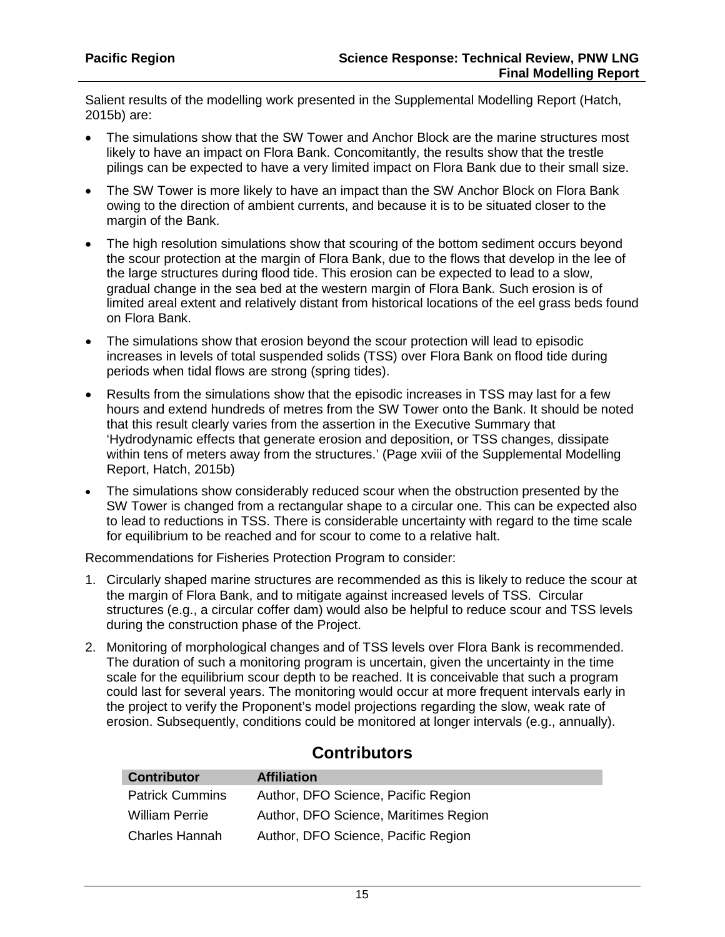I

Salient results of the modelling work presented in the Supplemental Modelling Report (Hatch, 2015b) are:

- The simulations show that the SW Tower and Anchor Block are the marine structures most likely to have an impact on Flora Bank. Concomitantly, the results show that the trestle pilings can be expected to have a very limited impact on Flora Bank due to their small size.
- The SW Tower is more likely to have an impact than the SW Anchor Block on Flora Bank owing to the direction of ambient currents, and because it is to be situated closer to the margin of the Bank.
- The high resolution simulations show that scouring of the bottom sediment occurs beyond the scour protection at the margin of Flora Bank, due to the flows that develop in the lee of the large structures during flood tide. This erosion can be expected to lead to a slow, gradual change in the sea bed at the western margin of Flora Bank. Such erosion is of limited areal extent and relatively distant from historical locations of the eel grass beds found on Flora Bank.
- The simulations show that erosion beyond the scour protection will lead to episodic increases in levels of total suspended solids (TSS) over Flora Bank on flood tide during periods when tidal flows are strong (spring tides).
- Results from the simulations show that the episodic increases in TSS may last for a few hours and extend hundreds of metres from the SW Tower onto the Bank. It should be noted that this result clearly varies from the assertion in the Executive Summary that 'Hydrodynamic effects that generate erosion and deposition, or TSS changes, dissipate within tens of meters away from the structures.' (Page xviii of the Supplemental Modelling Report, Hatch, 2015b)
- The simulations show considerably reduced scour when the obstruction presented by the SW Tower is changed from a rectangular shape to a circular one. This can be expected also to lead to reductions in TSS. There is considerable uncertainty with regard to the time scale for equilibrium to be reached and for scour to come to a relative halt.

Recommendations for Fisheries Protection Program to consider:

- 1. Circularly shaped marine structures are recommended as this is likely to reduce the scour at the margin of Flora Bank, and to mitigate against increased levels of TSS. Circular structures (e.g., a circular coffer dam) would also be helpful to reduce scour and TSS levels during the construction phase of the Project.
- 2. Monitoring of morphological changes and of TSS levels over Flora Bank is recommended. The duration of such a monitoring program is uncertain, given the uncertainty in the time scale for the equilibrium scour depth to be reached. It is conceivable that such a program could last for several years. The monitoring would occur at more frequent intervals early in the project to verify the Proponent's model projections regarding the slow, weak rate of erosion. Subsequently, conditions could be monitored at longer intervals (e.g., annually).

| <b>Contributor</b>     | <b>Affiliation</b>                    |
|------------------------|---------------------------------------|
| <b>Patrick Cummins</b> | Author, DFO Science, Pacific Region   |
| William Perrie         | Author, DFO Science, Maritimes Region |
| Charles Hannah         | Author, DFO Science, Pacific Region   |

## **Contributors**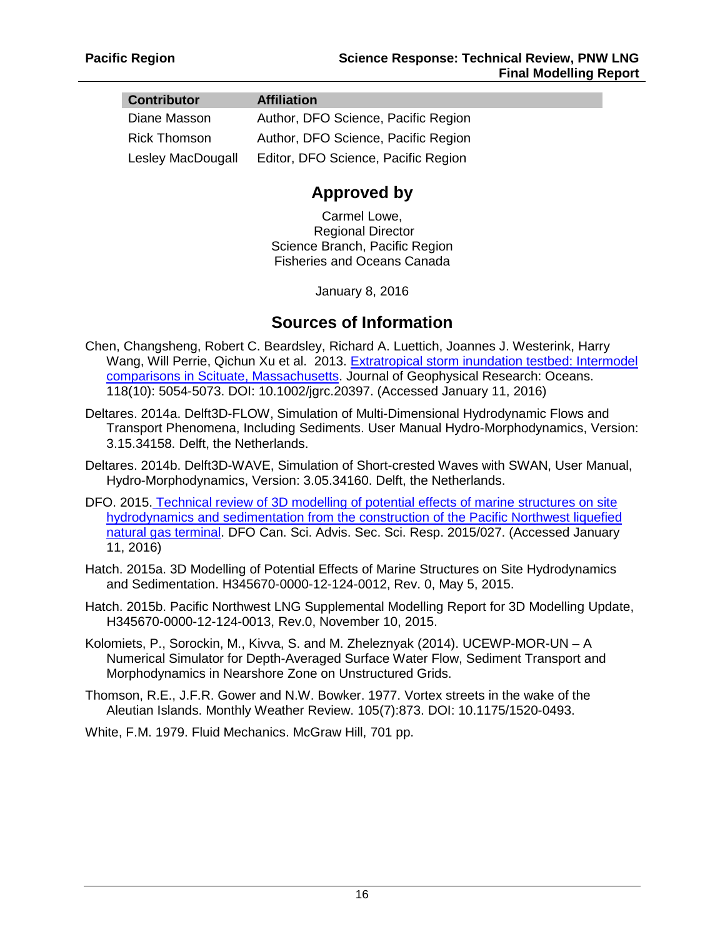| <b>Contributor</b>  | <b>Affiliation</b>                  |
|---------------------|-------------------------------------|
| Diane Masson        | Author, DFO Science, Pacific Region |
| <b>Rick Thomson</b> | Author, DFO Science, Pacific Region |
| Lesley MacDougall   | Editor, DFO Science, Pacific Region |

## **Approved by**

Carmel Lowe, Regional Director Science Branch, Pacific Region Fisheries and Oceans Canada

January 8, 2016

## **Sources of Information**

- Chen, Changsheng, Robert C. Beardsley, Richard A. Luettich, Joannes J. Westerink, Harry Wang, Will Perrie, Qichun Xu et al. 2013. Extratropical storm inundation testbed: Intermodel [comparisons in Scituate, Massachusetts.](http://onlinelibrary.wiley.com/doi/10.1002/jgrc.20397/full) Journal of Geophysical Research: Oceans. 118(10): 5054-5073. DOI: 10.1002/jgrc.20397. (Accessed January 11, 2016)
- Deltares. 2014a. Delft3D-FLOW, Simulation of Multi-Dimensional Hydrodynamic Flows and Transport Phenomena, Including Sediments. User Manual Hydro-Morphodynamics, Version: 3.15.34158. Delft, the Netherlands.
- Deltares. 2014b. Delft3D-WAVE, Simulation of Short-crested Waves with SWAN, User Manual, Hydro-Morphodynamics, Version: 3.05.34160. Delft, the Netherlands.
- DFO. 2015. [Technical review of 3D modelling of potential effects of marine structures on site](http://www.dfo-mpo.gc.ca/csas-sccs/Publications/ScR-RS/2015/2015_027-eng.html)  [hydrodynamics and sedimentation from the construction of the Pacific Northwest liquefied](http://www.dfo-mpo.gc.ca/csas-sccs/Publications/ScR-RS/2015/2015_027-eng.html)  [natural gas terminal.](http://www.dfo-mpo.gc.ca/csas-sccs/Publications/ScR-RS/2015/2015_027-eng.html) DFO Can. Sci. Advis. Sec. Sci. Resp. 2015/027. (Accessed January 11, 2016)
- Hatch. 2015a. 3D Modelling of Potential Effects of Marine Structures on Site Hydrodynamics and Sedimentation. H345670-0000-12-124-0012, Rev. 0, May 5, 2015.
- Hatch. 2015b. Pacific Northwest LNG Supplemental Modelling Report for 3D Modelling Update, H345670-0000-12-124-0013, Rev.0, November 10, 2015.
- Kolomiets, P., Sorockin, M., Kivva, S. and M. Zheleznyak (2014). UCEWP-MOR-UN A Numerical Simulator for Depth-Averaged Surface Water Flow, Sediment Transport and Morphodynamics in Nearshore Zone on Unstructured Grids.
- Thomson, R.E., J.F.R. Gower and N.W. Bowker. 1977. Vortex streets in the wake of the Aleutian Islands. Monthly Weather Review. 105(7):873. DOI: 10.1175/1520-0493.

White, F.M. 1979. Fluid Mechanics. McGraw Hill, 701 pp.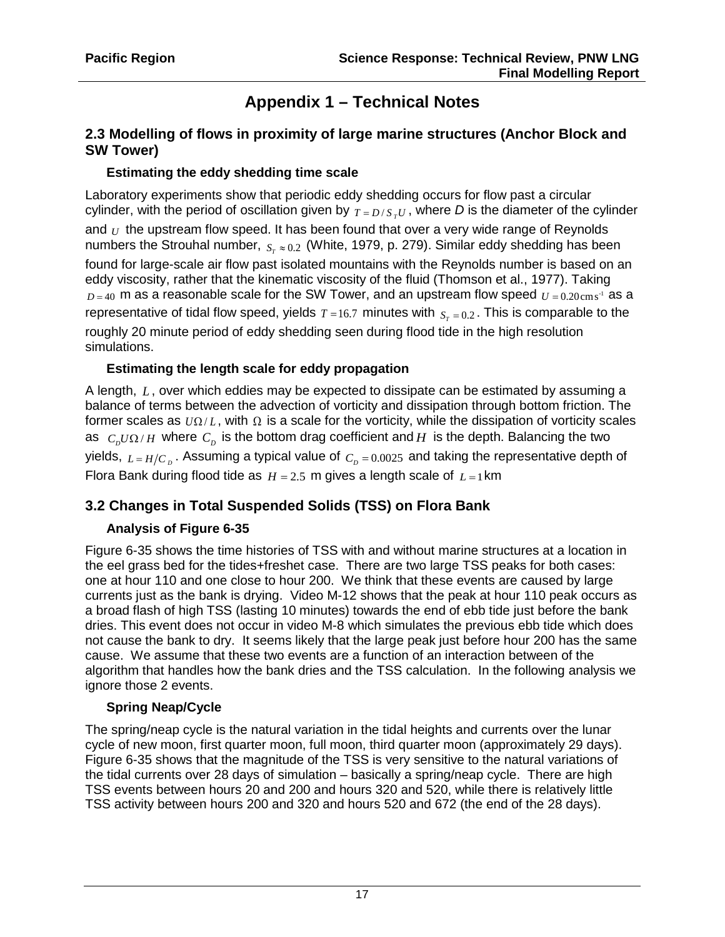# **Appendix 1 – Technical Notes**

### **2.3 Modelling of flows in proximity of large marine structures (Anchor Block and SW Tower)**

#### **Estimating the eddy shedding time scale**

Laboratory experiments show that periodic eddy shedding occurs for flow past a circular cylinder, with the period of oscillation given by  $T = D/S<sub>x</sub>U$ , where *D* is the diameter of the cylinder and *U* the upstream flow speed. It has been found that over a very wide range of Reynolds numbers the Strouhal number,  $S_r ≈ 0.2$  *(White, 1979, p. 279). Similar eddy shedding has been* found for large-scale air flow past isolated mountains with the Reynolds number is based on an eddy viscosity, rather that the kinematic viscosity of the fluid (Thomson et al., 1977). Taking  $D = 40$  m as a reasonable scale for the SW Tower, and an upstream flow speed  $U = 0.20 \text{cm s}^{-1}$  as a representative of tidal flow speed, yields  $T = 16.7$  minutes with  $S_n = 0.2$ . This is comparable to the roughly 20 minute period of eddy shedding seen during flood tide in the high resolution simulations.

### **Estimating the length scale for eddy propagation**

A length, *L* , over which eddies may be expected to dissipate can be estimated by assuming a balance of terms between the advection of vorticity and dissipation through bottom friction. The former scales as  $U\Omega/L$ , with  $\Omega$  is a scale for the vorticity, while the dissipation of vorticity scales as  $C_p U \Omega / H$  where  $C_p$  is the bottom drag coefficient and *H* is the depth. Balancing the two yields,  $L = H/C_p$ . Assuming a typical value of  $C_p = 0.0025$  and taking the representative depth of Flora Bank during flood tide as  $H = 2.5$  m gives a length scale of  $L = 1$  km

## **3.2 Changes in Total Suspended Solids (TSS) on Flora Bank**

## **Analysis of Figure 6-35**

Figure 6-35 shows the time histories of TSS with and without marine structures at a location in the eel grass bed for the tides+freshet case. There are two large TSS peaks for both cases: one at hour 110 and one close to hour 200. We think that these events are caused by large currents just as the bank is drying. Video M-12 shows that the peak at hour 110 peak occurs as a broad flash of high TSS (lasting 10 minutes) towards the end of ebb tide just before the bank dries. This event does not occur in video M-8 which simulates the previous ebb tide which does not cause the bank to dry. It seems likely that the large peak just before hour 200 has the same cause. We assume that these two events are a function of an interaction between of the algorithm that handles how the bank dries and the TSS calculation. In the following analysis we ignore those 2 events.

#### **Spring Neap/Cycle**

The spring/neap cycle is the natural variation in the tidal heights and currents over the lunar cycle of new moon, first quarter moon, full moon, third quarter moon (approximately 29 days). Figure 6-35 shows that the magnitude of the TSS is very sensitive to the natural variations of the tidal currents over 28 days of simulation – basically a spring/neap cycle. There are high TSS events between hours 20 and 200 and hours 320 and 520, while there is relatively little TSS activity between hours 200 and 320 and hours 520 and 672 (the end of the 28 days).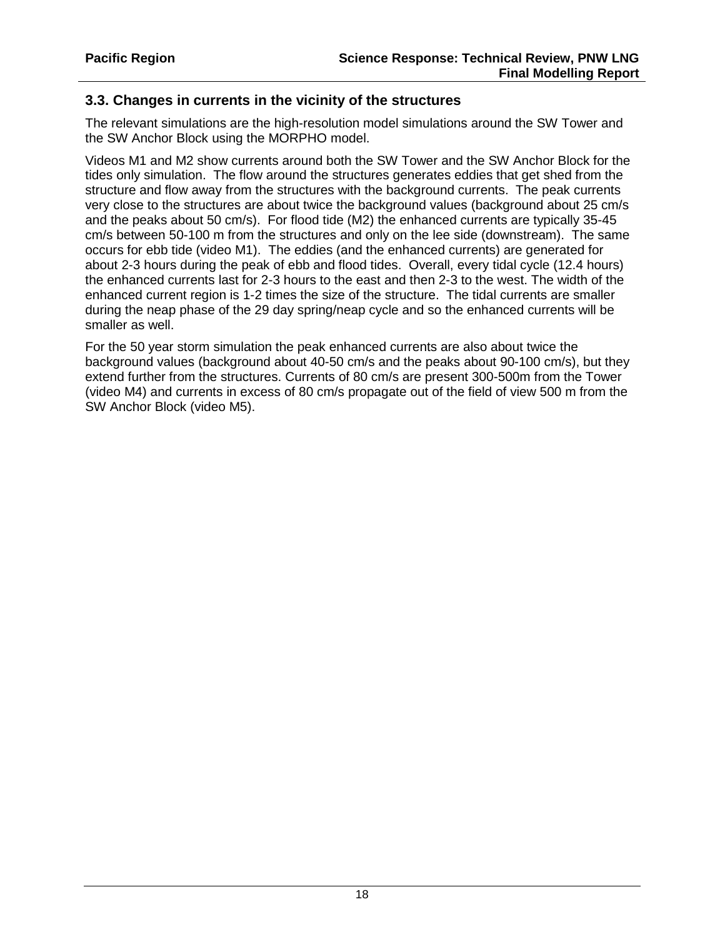#### **3.3. Changes in currents in the vicinity of the structures**

The relevant simulations are the high-resolution model simulations around the SW Tower and the SW Anchor Block using the MORPHO model.

Videos M1 and M2 show currents around both the SW Tower and the SW Anchor Block for the tides only simulation. The flow around the structures generates eddies that get shed from the structure and flow away from the structures with the background currents. The peak currents very close to the structures are about twice the background values (background about 25 cm/s and the peaks about 50 cm/s). For flood tide (M2) the enhanced currents are typically 35-45 cm/s between 50-100 m from the structures and only on the lee side (downstream). The same occurs for ebb tide (video M1). The eddies (and the enhanced currents) are generated for about 2-3 hours during the peak of ebb and flood tides. Overall, every tidal cycle (12.4 hours) the enhanced currents last for 2-3 hours to the east and then 2-3 to the west. The width of the enhanced current region is 1-2 times the size of the structure. The tidal currents are smaller during the neap phase of the 29 day spring/neap cycle and so the enhanced currents will be smaller as well.

For the 50 year storm simulation the peak enhanced currents are also about twice the background values (background about 40-50 cm/s and the peaks about 90-100 cm/s), but they extend further from the structures. Currents of 80 cm/s are present 300-500m from the Tower (video M4) and currents in excess of 80 cm/s propagate out of the field of view 500 m from the SW Anchor Block (video M5).